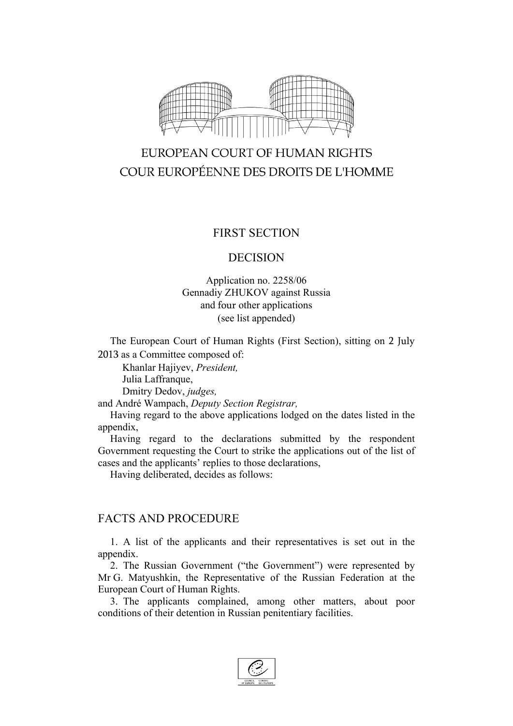

# EUROPEAN COURT OF HUMAN RIGHTS COUR EUROPÉENNE DES DROITS DE L'HOMME

## FIRST SECTION

### DECISION

## Application no. 2258/06 Gennadiy ZHUKOV against Russia and four other applications (see list appended)

The European Court of Human Rights (First Section), sitting on 2 July 2013 as a Committee composed of:

Khanlar Hajiyev, *President,*

Julia Laffranque,

Dmitry Dedov, *judges,*

and André Wampach, *Deputy Section Registrar,*

Having regard to the above applications lodged on the dates listed in the appendix,

Having regard to the declarations submitted by the respondent Government requesting the Court to strike the applications out of the list of cases and the applicants' replies to those declarations,

Having deliberated, decides as follows:

## FACTS AND PROCEDURE

1. A list of the applicants and their representatives is set out in the appendix.

2. The Russian Government ("the Government") were represented by Mr G. Matyushkin, the Representative of the Russian Federation at the European Court of Human Rights.

3. The applicants complained, among other matters, about poor conditions of their detention in Russian penitentiary facilities.

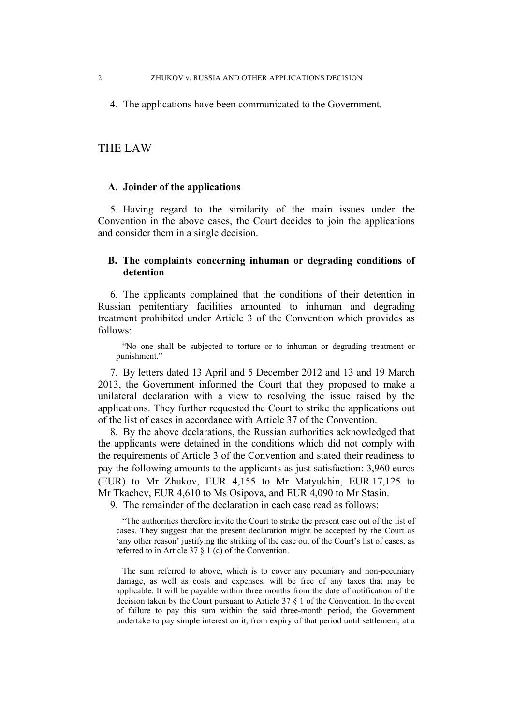4. The applications have been communicated to the Government.

THE LAW

#### **A. Joinder of the applications**

5. Having regard to the similarity of the main issues under the Convention in the above cases, the Court decides to join the applications and consider them in a single decision.

#### **B. The complaints concerning inhuman or degrading conditions of detention**

6. The applicants complained that the conditions of their detention in Russian penitentiary facilities amounted to inhuman and degrading treatment prohibited under Article 3 of the Convention which provides as follows:

"No one shall be subjected to torture or to inhuman or degrading treatment or punishment."

7. By letters dated 13 April and 5 December 2012 and 13 and 19 March 2013, the Government informed the Court that they proposed to make a unilateral declaration with a view to resolving the issue raised by the applications. They further requested the Court to strike the applications out of the list of cases in accordance with Article 37 of the Convention.

8. By the above declarations, the Russian authorities acknowledged that the applicants were detained in the conditions which did not comply with the requirements of Article 3 of the Convention and stated their readiness to pay the following amounts to the applicants as just satisfaction: 3,960 euros (EUR) to Mr Zhukov, EUR 4,155 to Mr Matyukhin, EUR 17,125 to Mr Tkachev, EUR 4,610 to Ms Osipova, and EUR 4,090 to Mr Stasin.

9. The remainder of the declaration in each case read as follows:

"The authorities therefore invite the Court to strike the present case out of the list of cases. They suggest that the present declaration might be accepted by the Court as 'any other reason' justifying the striking of the case out of the Court's list of cases, as referred to in Article 37 § 1 (c) of the Convention.

The sum referred to above, which is to cover any pecuniary and non-pecuniary damage, as well as costs and expenses, will be free of any taxes that may be applicable. It will be payable within three months from the date of notification of the decision taken by the Court pursuant to Article 37 § 1 of the Convention. In the event of failure to pay this sum within the said three-month period, the Government undertake to pay simple interest on it, from expiry of that period until settlement, at a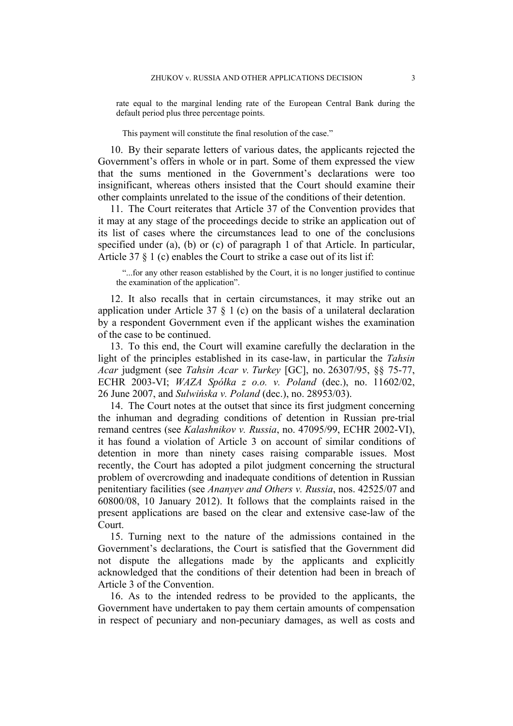rate equal to the marginal lending rate of the European Central Bank during the default period plus three percentage points.

This payment will constitute the final resolution of the case."

10. By their separate letters of various dates, the applicants rejected the Government's offers in whole or in part. Some of them expressed the view that the sums mentioned in the Government's declarations were too insignificant, whereas others insisted that the Court should examine their other complaints unrelated to the issue of the conditions of their detention.

11. The Court reiterates that Article 37 of the Convention provides that it may at any stage of the proceedings decide to strike an application out of its list of cases where the circumstances lead to one of the conclusions specified under (a), (b) or (c) of paragraph 1 of that Article. In particular, Article 37 § 1 (c) enables the Court to strike a case out of its list if:

"...for any other reason established by the Court, it is no longer justified to continue the examination of the application".

12. It also recalls that in certain circumstances, it may strike out an application under Article 37 § 1 (c) on the basis of a unilateral declaration by a respondent Government even if the applicant wishes the examination of the case to be continued.

13. To this end, the Court will examine carefully the declaration in the light of the principles established in its case-law, in particular the *Tahsin Acar* judgment (see *Tahsin Acar v. Turkey* [GC], no. 26307/95, §§ 75-77, ECHR 2003-VI; *WAZA Spółka z o.o. v. Poland* (dec.), no. 11602/02, 26 June 2007, and *Sulwińska v. Poland* (dec.), no. 28953/03).

14. The Court notes at the outset that since its first judgment concerning the inhuman and degrading conditions of detention in Russian pre-trial remand centres (see *Kalashnikov v. Russia*, no. 47095/99, ECHR 2002-VI), it has found a violation of Article 3 on account of similar conditions of detention in more than ninety cases raising comparable issues. Most recently, the Court has adopted a pilot judgment concerning the structural problem of overcrowding and inadequate conditions of detention in Russian penitentiary facilities (see *Ananyev and Others v. Russia*, nos. 42525/07 and 60800/08, 10 January 2012). It follows that the complaints raised in the present applications are based on the clear and extensive case-law of the Court.

15. Turning next to the nature of the admissions contained in the Government's declarations, the Court is satisfied that the Government did not dispute the allegations made by the applicants and explicitly acknowledged that the conditions of their detention had been in breach of Article 3 of the Convention.

16. As to the intended redress to be provided to the applicants, the Government have undertaken to pay them certain amounts of compensation in respect of pecuniary and non-pecuniary damages, as well as costs and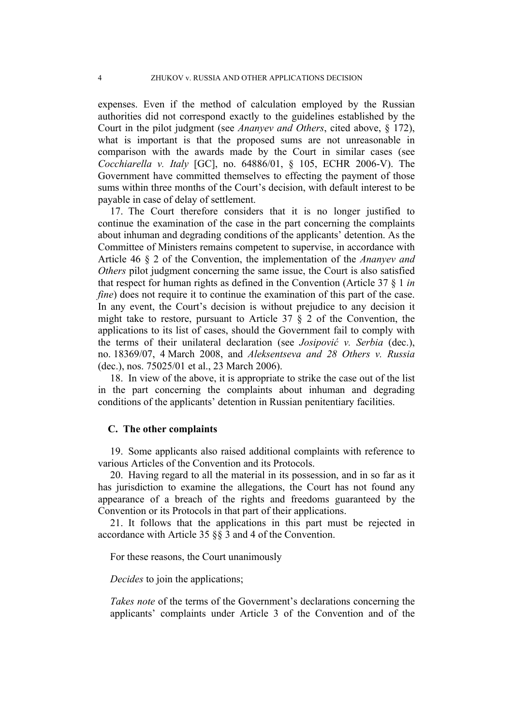expenses. Even if the method of calculation employed by the Russian authorities did not correspond exactly to the guidelines established by the Court in the pilot judgment (see *Ananyev and Others*, cited above, § 172), what is important is that the proposed sums are not unreasonable in comparison with the awards made by the Court in similar cases (see *Cocchiarella v. Italy* [GC], no. 64886/01, § 105, ECHR 2006-V). The Government have committed themselves to effecting the payment of those sums within three months of the Court's decision, with default interest to be payable in case of delay of settlement.

17. The Court therefore considers that it is no longer justified to continue the examination of the case in the part concerning the complaints about inhuman and degrading conditions of the applicants' detention. As the Committee of Ministers remains competent to supervise, in accordance with Article 46 § 2 of the Convention, the implementation of the *Ananyev and Others* pilot judgment concerning the same issue, the Court is also satisfied that respect for human rights as defined in the Convention (Article 37 § 1 *in fine*) does not require it to continue the examination of this part of the case. In any event, the Court's decision is without prejudice to any decision it might take to restore, pursuant to Article 37 § 2 of the Convention, the applications to its list of cases, should the Government fail to comply with the terms of their unilateral declaration (see *Josipović v. Serbia* (dec.), no. 18369/07, 4 March 2008, and *Aleksentseva and 28 Others v. Russia* (dec.), nos. 75025/01 et al., 23 March 2006).

18. In view of the above, it is appropriate to strike the case out of the list in the part concerning the complaints about inhuman and degrading conditions of the applicants' detention in Russian penitentiary facilities.

#### **C. The other complaints**

19. Some applicants also raised additional complaints with reference to various Articles of the Convention and its Protocols.

20. Having regard to all the material in its possession, and in so far as it has jurisdiction to examine the allegations, the Court has not found any appearance of a breach of the rights and freedoms guaranteed by the Convention or its Protocols in that part of their applications.

21. It follows that the applications in this part must be rejected in accordance with Article 35 §§ 3 and 4 of the Convention.

For these reasons, the Court unanimously

*Decides* to join the applications;

*Takes note* of the terms of the Government's declarations concerning the applicants' complaints under Article 3 of the Convention and of the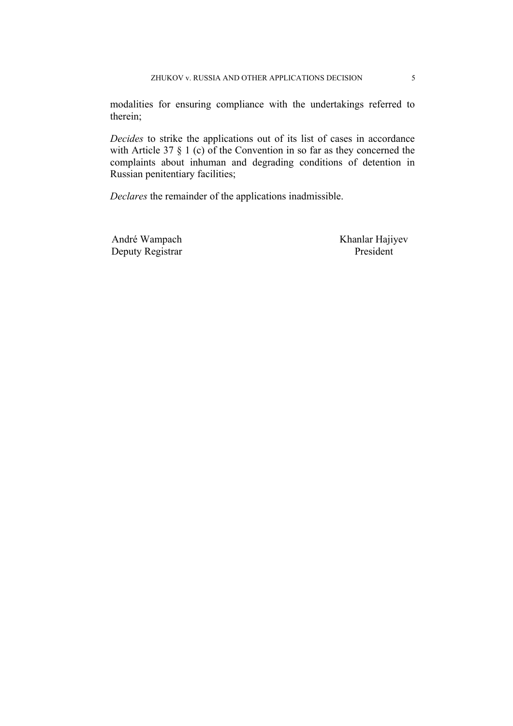modalities for ensuring compliance with the undertakings referred to therein;

*Decides* to strike the applications out of its list of cases in accordance with Article 37  $\S$  1 (c) of the Convention in so far as they concerned the complaints about inhuman and degrading conditions of detention in Russian penitentiary facilities;

*Declares* the remainder of the applications inadmissible.

Deputy Registrar President

André Wampach Khanlar Hajiyev